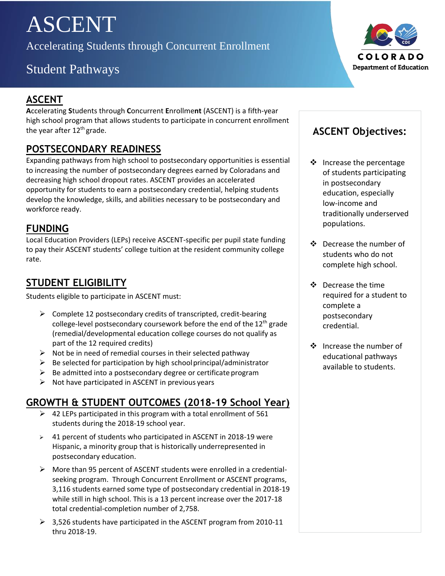# ASCENT

Accelerating Students through Concurrent Enrollment

# Student Pathways



# **ASCENT**

**A**ccelerating **S**tudents through **C**oncurrent **E**nrollme**nt** (ASCENT) is a fifth-year high school program that allows students to participate in concurrent enrollment the year after  $12<sup>th</sup>$  grade.

### **POSTSECONDARY READINESS**

Expanding pathways from high school to postsecondary opportunities is essential to increasing the number of postsecondary degrees earned by Coloradans and decreasing high school dropout rates. ASCENT provides an accelerated opportunity for students to earn a postsecondary credential, helping students develop the knowledge, skills, and abilities necessary to be postsecondary and workforce ready.

#### **FUNDING**

Local Education Providers (LEPs) receive ASCENT-specific per pupil state funding to pay their ASCENT students' college tuition at the resident community college rate.

#### **STUDENT ELIGIBILITY**

Students eligible to participate in ASCENT must:

- $\triangleright$  Complete 12 postsecondary credits of transcripted, credit-bearing college-level postsecondary coursework before the end of the 12<sup>th</sup> grade (remedial/developmental education college courses do not qualify as part of the 12 required credits)
- $\triangleright$  Not be in need of remedial courses in their selected pathway
- $\triangleright$  Be selected for participation by high school principal/administrator
- $\triangleright$  Be admitted into a postsecondary degree or certificate program
- $\triangleright$  Not have participated in ASCENT in previous years

#### **GROWTH & STUDENT OUTCOMES (2018-19 School Year)**

- $\geq$  42 LEPs participated in this program with a total enrollment of 561 students during the 2018-19 school year.
- $\geq$  41 percent of students who participated in ASCENT in 2018-19 were Hispanic, a minority group that is historically underrepresented in postsecondary education.
- $\triangleright$  More than 95 percent of ASCENT students were enrolled in a credentialseeking program. Through Concurrent Enrollment or ASCENT programs, 3,116 students earned some type of postsecondary credential in 2018-19 while still in high school. This is a 13 percent increase over the 2017-18 total credential-completion number of 2,758.
- $\geq$  3,526 students have participated in the ASCENT program from 2010-11 thru 2018-19.

# **ASCENT Objectives:**

- $\div$  Increase the percentage of students participating in postsecondary education, especially low-income and traditionally underserved populations.
- Decrease the number of students who do not complete high school.
- Decrease the time required for a student to complete a postsecondary credential.
- ❖ Increase the number of educational pathways available to students.